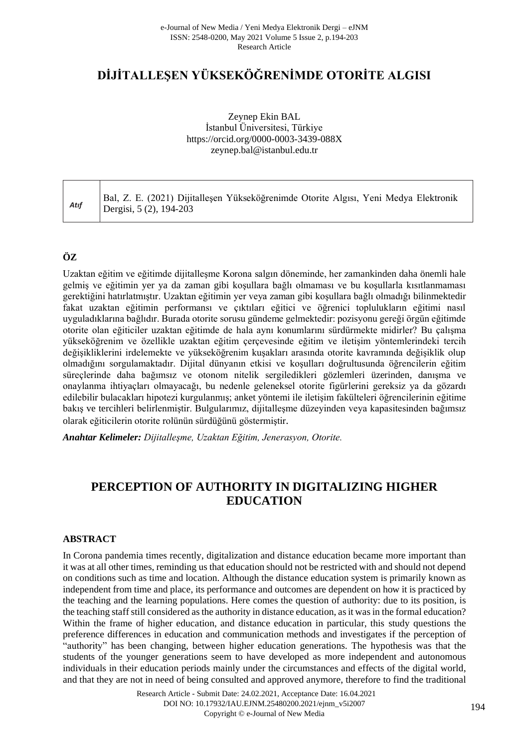# **DİJİTALLEŞEN YÜKSEKÖĞRENİMDE OTORİTE ALGISI**

### Zeynep Ekin BAL İstanbul Üniversitesi, Türkiye <https://orcid.org/0000-0003-3439-088X> [zeynep.bal@istanbul.edu.tr](mailto:zeynep.bal@istanbul.edu.tr)

# **ÖZ**

Uzaktan eğitim ve eğitimde dijitalleşme Korona salgın döneminde, her zamankinden daha önemli hale gelmiş ve eğitimin yer ya da zaman gibi koşullara bağlı olmaması ve bu koşullarla kısıtlanmaması gerektiğini hatırlatmıştır. Uzaktan eğitimin yer veya zaman gibi koşullara bağlı olmadığı bilinmektedir fakat uzaktan eğitimin performansı ve çıktıları eğitici ve öğrenici toplulukların eğitimi nasıl uyguladıklarına bağlıdır. Burada otorite sorusu gündeme gelmektedir: pozisyonu gereği örgün eğitimde otorite olan eğiticiler uzaktan eğitimde de hala aynı konumlarını sürdürmekte midirler? Bu çalışma yükseköğrenim ve özellikle uzaktan eğitim çerçevesinde eğitim ve iletişim yöntemlerindeki tercih değişikliklerini irdelemekte ve yükseköğrenim kuşakları arasında otorite kavramında değişiklik olup olmadığını sorgulamaktadır. Dijital dünyanın etkisi ve koşulları doğrultusunda öğrencilerin eğitim süreçlerinde daha bağımsız ve otonom nitelik sergiledikleri gözlemleri üzerinden, danışma ve onaylanma ihtiyaçları olmayacağı, bu nedenle geleneksel otorite figürlerini gereksiz ya da gözardı edilebilir bulacakları hipotezi kurgulanmış; anket yöntemi ile iletişim fakülteleri öğrencilerinin eğitime bakış ve tercihleri belirlenmiştir. Bulgularımız, dijitalleşme düzeyinden veya kapasitesinden bağımsız olarak eğiticilerin otorite rolünün sürdüğünü göstermiştir.

*Anahtar Kelimeler: Dijitalleşme, Uzaktan Eğitim, Jenerasyon, Otorite.*

# **PERCEPTION OF AUTHORITY IN DIGITALIZING HIGHER EDUCATION**

### **ABSTRACT**

In Corona pandemia times recently, digitalization and distance education became more important than it was at all other times, reminding us that education should not be restricted with and should not depend on conditions such as time and location. Although the distance education system is primarily known as independent from time and place, its performance and outcomes are dependent on how it is practiced by the teaching and the learning populations. Here comes the question of authority: due to its position, is the teaching staff still considered as the authority in distance education, as it was in the formal education? Within the frame of higher education, and distance education in particular, this study questions the preference differences in education and communication methods and investigates if the perception of "authority" has been changing, between higher education generations. The hypothesis was that the students of the younger generations seem to have developed as more independent and autonomous individuals in their education periods mainly under the circumstances and effects of the digital world, and that they are not in need of being consulted and approved anymore, therefore to find the traditional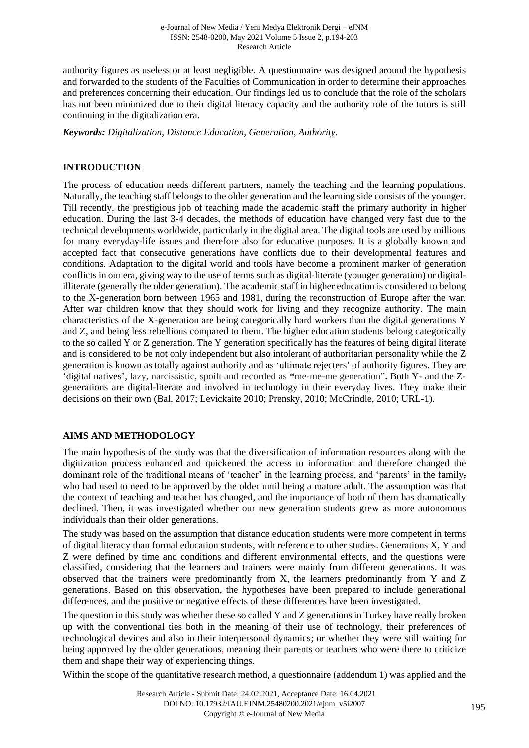authority figures as useless or at least negligible. A questionnaire was designed around the hypothesis and forwarded to the students of the Faculties of Communication in order to determine their approaches and preferences concerning their education. Our findings led us to conclude that the role of the scholars has not been minimized due to their digital literacy capacity and the authority role of the tutors is still continuing in the digitalization era.

*Keywords: Digitalization, Distance Education, Generation, Authority.*

### **INTRODUCTION**

The process of education needs different partners, namely the teaching and the learning populations. Naturally, the teaching staff belongs to the older generation and the learning side consists of the younger. Till recently, the prestigious job of teaching made the academic staff the primary authority in higher education. During the last 3-4 decades, the methods of education have changed very fast due to the technical developments worldwide, particularly in the digital area. The digital tools are used by millions for many everyday-life issues and therefore also for educative purposes. It is a globally known and accepted fact that consecutive generations have conflicts due to their developmental features and conditions. Adaptation to the digital world and tools have become a prominent marker of generation conflicts in our era, giving way to the use of terms such as digital-literate (younger generation) or digitalilliterate (generally the older generation). The academic staff in higher education is considered to belong to the X-generation born between 1965 and 1981, during the reconstruction of Europe after the war. After war children know that they should work for living and they recognize authority. The main characteristics of the X-generation are being categorically hard workers than the digital generations Y and Z, and being less rebellious compared to them. The higher education students belong categorically to the so called Y or Z generation. The Y generation specifically has the features of being digital literate and is considered to be not only independent but also intolerant of authoritarian personality while the Z generation is known as totally against authority and as 'ultimate rejecters' of authority figures. They are 'digital natives', lazy, narcissistic, spoilt and recorded as **"**me-me-me generation"**.** Both Y- and the Zgenerations are digital-literate and involved in technology in their everyday lives. They make their decisions on their own (Bal, 2017; Levickaite 2010; Prensky, 2010; McCrindle, 2010; URL-1).

# **AIMS AND METHODOLOGY**

The main hypothesis of the study was that the diversification of information resources along with the digitization process enhanced and quickened the access to information and therefore changed the dominant role of the traditional means of 'teacher' in the learning process, and 'parents' in the family, who had used to need to be approved by the older until being a mature adult. The assumption was that the context of teaching and teacher has changed, and the importance of both of them has dramatically declined. Then, it was investigated whether our new generation students grew as more autonomous individuals than their older generations.

The study was based on the assumption that distance education students were more competent in terms of digital literacy than formal education students, with reference to other studies. Generations X, Y and Z were defined by time and conditions and different environmental effects, and the questions were classified, considering that the learners and trainers were mainly from different generations. It was observed that the trainers were predominantly from X, the learners predominantly from Y and Z generations. Based on this observation, the hypotheses have been prepared to include generational differences, and the positive or negative effects of these differences have been investigated.

The question in this study was whether these so called Y and Z generations in Turkey have really broken up with the conventional ties both in the meaning of their use of technology, their preferences of technological devices and also in their interpersonal dynamics; or whether they were still waiting for being approved by the older generations, meaning their parents or teachers who were there to criticize them and shape their way of experiencing things.

Within the scope of the quantitative research method, a questionnaire (addendum 1) was applied and the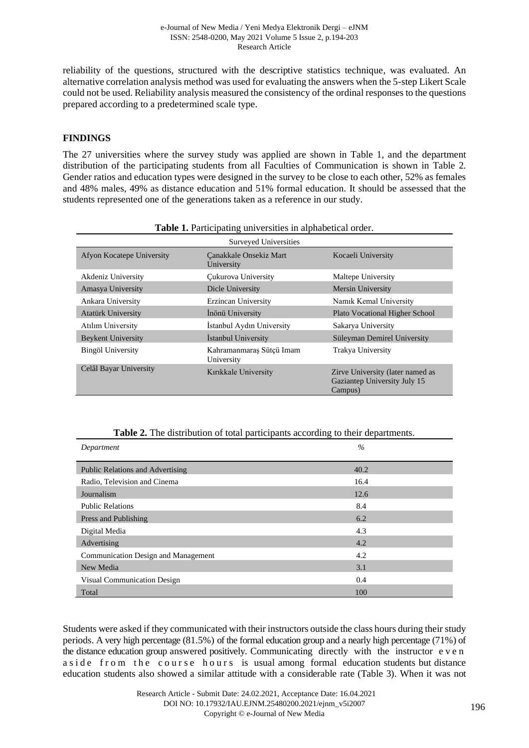reliability of the questions, structured with the descriptive statistics technique, was evaluated. An alternative correlation analysis method was used for evaluating the answers when the 5-step Likert Scale could not be used. Reliability analysis measured the consistency of the ordinal responses to the questions prepared according to a predetermined scale type.

### **FINDINGS**

The 27 universities where the survey study was applied are shown in Table 1, and the department distribution of the participating students from all Faculties of Communication is shown in Table 2. Gender ratios and education types were designed in the survey to be close to each other, 52% as females and 48% males, 49% as distance education and 51% formal education. It should be assessed that the students represented one of the generations taken as a reference in our study.

|                           | Surveyed Universities                  |                                                                             |  |  |  |  |
|---------------------------|----------------------------------------|-----------------------------------------------------------------------------|--|--|--|--|
| Afyon Kocatepe University | Canakkale Onsekiz Mart<br>University   | Kocaeli University                                                          |  |  |  |  |
| Akdeniz University        | Cukurova University                    | Maltepe University                                                          |  |  |  |  |
| Amasya University         | Dicle University                       | Mersin University                                                           |  |  |  |  |
| Ankara University         | Erzincan University                    | Namik Kemal University                                                      |  |  |  |  |
| <b>Atatürk University</b> | İnönü University                       | <b>Plato Vocational Higher School</b>                                       |  |  |  |  |
| <b>Atılım University</b>  | İstanbul Aydın University              | Sakarya University                                                          |  |  |  |  |
| <b>Beykent University</b> | Istanbul University                    | Süleyman Demirel University                                                 |  |  |  |  |
| <b>Bingöl University</b>  | Kahramanmaraş Sütçü Imam<br>University | Trakya University                                                           |  |  |  |  |
| Celâl Bayar University    | Kırıkkale University                   | Zirve University (later named as<br>Gaziantep University July 15<br>Campus) |  |  |  |  |

**Table 1.** Participating universities in alphabetical order.

| Table 2. The distribution of total participants according to their departments. |
|---------------------------------------------------------------------------------|
|---------------------------------------------------------------------------------|

| Department                              | $\%$ |
|-----------------------------------------|------|
|                                         |      |
| <b>Public Relations and Advertising</b> | 40.2 |
| Radio, Television and Cinema            | 16.4 |
| Journalism                              | 12.6 |
| <b>Public Relations</b>                 | 8.4  |
| Press and Publishing                    | 6.2  |
| Digital Media                           | 4.3  |
| Advertising                             | 4.2  |
| Communication Design and Management     | 4.2  |
| New Media                               | 3.1  |
| Visual Communication Design             | 0.4  |
| Total                                   | 100  |

Students were asked if they communicated with their instructors outside the class hours during their study periods. A very high percentage (81.5%) of the formal education group and a nearly high percentage (71%) of the distance education group answered positively. Communicating directly with the instructor e v e n a side from the course hours is usual among formal education students but distance education students also showed a similar attitude with a considerable rate (Table 3). When it was not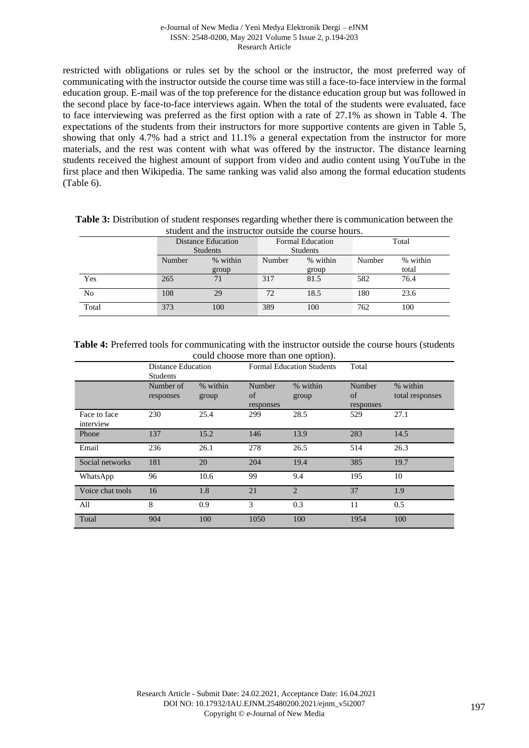#### e-Journal of New Media / Yeni Medya Elektronik Dergi – eJNM ISSN: 2548-0200, May 2021 Volume 5 Issue 2, p.194-203 Research Article

restricted with obligations or rules set by the school or the instructor, the most preferred way of communicating with the instructor outside the course time was still a face-to-face interview in the formal education group. E-mail was of the top preference for the distance education group but was followed in the second place by face-to-face interviews again. When the total of the students were evaluated, face to face interviewing was preferred as the first option with a rate of 27.1% as shown in Table 4. The expectations of the students from their instructors for more supportive contents are given in Table 5, showing that only 4.7% had a strict and 11.1% a general expectation from the instructor for more materials, and the rest was content with what was offered by the instructor. The distance learning students received the highest amount of support from video and audio content using YouTube in the first place and then Wikipedia. The same ranking was valid also among the formal education students (Table 6).

| student and the instructor outside the course hours. |                           |       |                         |          |        |          |  |
|------------------------------------------------------|---------------------------|-------|-------------------------|----------|--------|----------|--|
|                                                      | <b>Distance Education</b> |       | <b>Formal Education</b> |          | Total  |          |  |
|                                                      | <b>Students</b>           |       | <b>Students</b>         |          |        |          |  |
|                                                      | Number<br>% within        |       | Number                  | % within | Number | % within |  |
|                                                      |                           | group |                         | group    |        | total    |  |
| Yes                                                  | 265                       | 71    | 317                     | 81.5     | 582    | 76.4     |  |
| No                                                   | 108                       | 29    | 72                      | 18.5     | 180    | 23.6     |  |
| Total                                                | 373                       | 100   | 389                     | 100      | 762    | 100      |  |

| <b>Table 3:</b> Distribution of student responses regarding whether there is communication between the |  |
|--------------------------------------------------------------------------------------------------------|--|
| student and the instructor outside the course hours.                                                   |  |

### Table 4: Preferred tools for communicating with the instructor outside the course hours (students could choose more than one option).

|                           | Distance Education<br><b>Students</b> |                   | <b>Formal Education Students</b> |                       | Total                     |                             |
|---------------------------|---------------------------------------|-------------------|----------------------------------|-----------------------|---------------------------|-----------------------------|
|                           | Number of<br>responses                | % within<br>group | Number<br>of<br>responses        | % within<br>group     | Number<br>of<br>responses | % within<br>total responses |
| Face to face<br>interview | 230                                   | 25.4              | 299                              | 28.5                  | 529                       | 27.1                        |
| Phone                     | 137                                   | 15.2              | 146                              | 13.9                  | 283                       | 14.5                        |
| Email                     | 236                                   | 26.1              | 278                              | 26.5                  | 514                       | 26.3                        |
| Social networks           | 181                                   | 20                | 204                              | 19.4                  | 385                       | 19.7                        |
| WhatsApp                  | 96                                    | 10.6              | 99                               | 9.4                   | 195                       | 10                          |
| Voice chat tools          | 16                                    | 1.8               | 21                               | $\mathcal{D}_{\cdot}$ | 37                        | 1.9                         |
| All                       | 8                                     | 0.9               | 3                                | 0.3                   | 11                        | 0.5                         |
| Total                     | 904                                   | 100               | 1050                             | 100                   | 1954                      | 100                         |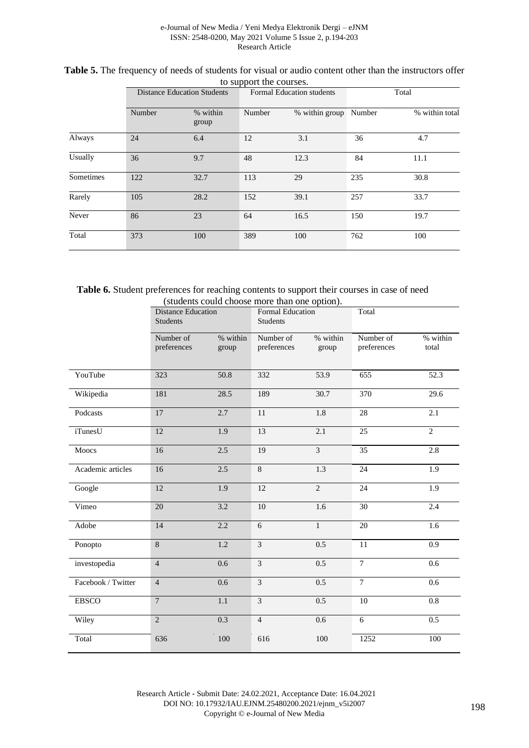#### e-Journal of New Media / Yeni Medya Elektronik Dergi – eJNM ISSN: 2548-0200, May 2021 Volume 5 Issue 2, p.194-203 Research Article

| to bupport the courses. |                                    |                   |                                  |                |        |                |  |
|-------------------------|------------------------------------|-------------------|----------------------------------|----------------|--------|----------------|--|
|                         | <b>Distance Education Students</b> |                   | <b>Formal Education students</b> |                | Total  |                |  |
|                         | Number                             | % within<br>group | Number                           | % within group | Number | % within total |  |
| Always                  | 24                                 | 6.4               | 12                               | 3.1            | 36     | 4.7            |  |
| Usually                 | 36                                 | 9.7               | 48                               | 12.3           | 84     | 11.1           |  |
| Sometimes               | 122                                | 32.7              | 113                              | 29             | 235    | 30.8           |  |
| Rarely                  | 105                                | 28.2              | 152                              | 39.1           | 257    | 33.7           |  |
| Never                   | 86                                 | 23                | 64                               | 16.5           | 150    | 19.7           |  |
| Total                   | 373                                | 100               | 389                              | 100            | 762    | 100            |  |

### **Table 5.** The frequency of needs of students for visual or audio content other than the instructors offer to support the courses.

**Table 6.** Student preferences for reaching contents to support their courses in case of need (students could choose more than one option).

|                    | <b>Distance Education</b><br><b>Students</b> |                   | Formal Education<br><b>Students</b> |                         | Total                    |                   |
|--------------------|----------------------------------------------|-------------------|-------------------------------------|-------------------------|--------------------------|-------------------|
|                    | Number of<br>preferences                     | % within<br>group | Number of<br>preferences            | % within<br>group       | Number of<br>preferences | % within<br>total |
| YouTube            | 323                                          | 50.8              | 332                                 | 53.9                    | 655                      | 52.3              |
| Wikipedia          | 181                                          | 28.5              | 189                                 | 30.7                    | 370                      | 29.6              |
| Podcasts           | 17                                           | 2.7               | $\overline{11}$                     | 1.8                     | 28                       | 2.1               |
| <i>i</i> TunesU    | 12                                           | 1.9               | 13                                  | 2.1                     | $\overline{25}$          | $\overline{2}$    |
| Moocs              | 16                                           | $2.5\,$           | 19                                  | $\overline{\mathbf{3}}$ | $\overline{35}$          | 2.8               |
| Academic articles  | 16                                           | 2.5               | $8\,$                               | 1.3                     | 24                       | 1.9               |
| Google             | $12\,$                                       | 1.9               | 12                                  | $\overline{c}$          | 24                       | 1.9               |
| Vimeo              | $20\,$                                       | 3.2               | 10                                  | 1.6                     | $\overline{30}$          | 2.4               |
| Adobe              | 14                                           | 2.2               | 6                                   | $\mathbf{1}$            | 20                       | 1.6               |
| Ponopto            | $\,8\,$                                      | 1.2               | 3                                   | 0.5                     | 11                       | 0.9               |
| investopedia       | $\overline{4}$                               | 0.6               | $\overline{3}$                      | 0.5                     | $\overline{7}$           | 0.6               |
| Facebook / Twitter | $\overline{4}$                               | 0.6               | $\overline{3}$                      | 0.5                     | $\overline{7}$           | 0.6               |
| <b>EBSCO</b>       | $\overline{7}$                               | 1.1               | $\overline{3}$                      | 0.5                     | 10                       | $\overline{0.8}$  |
| Wiley              | $\overline{2}$                               | 0.3               | $\overline{4}$                      | 0.6                     | $\overline{6}$           | 0.5               |
| Total              | 636                                          | 100               | 616                                 | 100                     | 1252                     | 100               |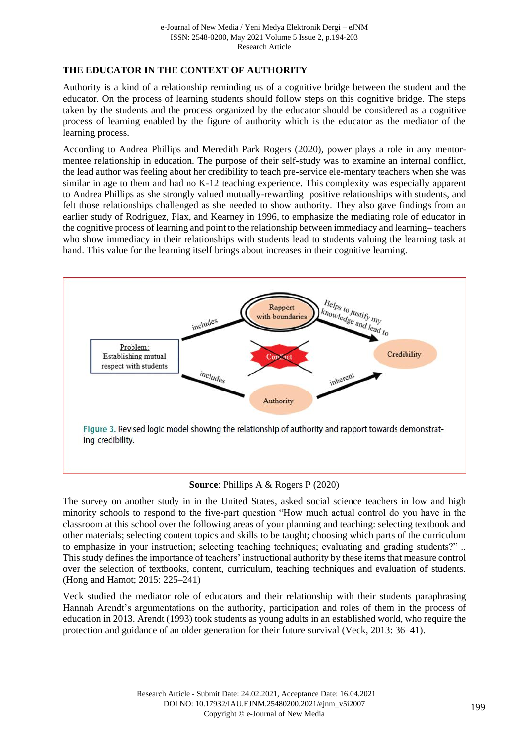# **THE EDUCATOR IN THE CONTEXT OF AUTHORITY**

Authority is a kind of a relationship reminding us of a cognitive bridge between the student and the educator. On the process of learning students should follow steps on this cognitive bridge. The steps taken by the students and the process organized by the educator should be considered as a cognitive process of learning enabled by the figure of authority which is the educator as the mediator of the learning process.

According to Andrea Phillips and Meredith Park Rogers (2020), power plays a role in any mentormentee relationship in education. The purpose of their self-study was to examine an internal conflict, the lead author was feeling about her credibility to teach pre-service ele-mentary teachers when she was similar in age to them and had no K-12 teaching experience. This complexity was especially apparent to Andrea Phillips as she strongly valued mutually-rewarding positive relationships with students, and felt those relationships challenged as she needed to show authority. They also gave findings from an earlier study of Rodriguez, Plax, and Kearney in 1996, to emphasize the mediating role of educator in the cognitive process of learning and point to the relationship between immediacy and learning– teachers who show immediacy in their relationships with students lead to students valuing the learning task at hand. This value for the learning itself brings about increases in their cognitive learning.





The survey on another study in in the United States, asked social science teachers in low and high minority schools to respond to the five-part question "How much actual control do you have in the classroom at this school over the following areas of your planning and teaching: selecting textbook and other materials; selecting content topics and skills to be taught; choosing which parts of the curriculum to emphasize in your instruction; selecting teaching techniques; evaluating and grading students?" .. This study defines the importance of teachers' instructional authority by these items that measure control over the selection of textbooks, content, curriculum, teaching techniques and evaluation of students. (Hong and Hamot; 2015: 225–241)

Veck studied the mediator role of educators and their relationship with their students paraphrasing Hannah Arendt's argumentations on the authority, participation and roles of them in the process of education in 2013. Arendt (1993) took students as young adults in an established world, who require the protection and guidance of an older generation for their future survival (Veck, 2013: 36–41).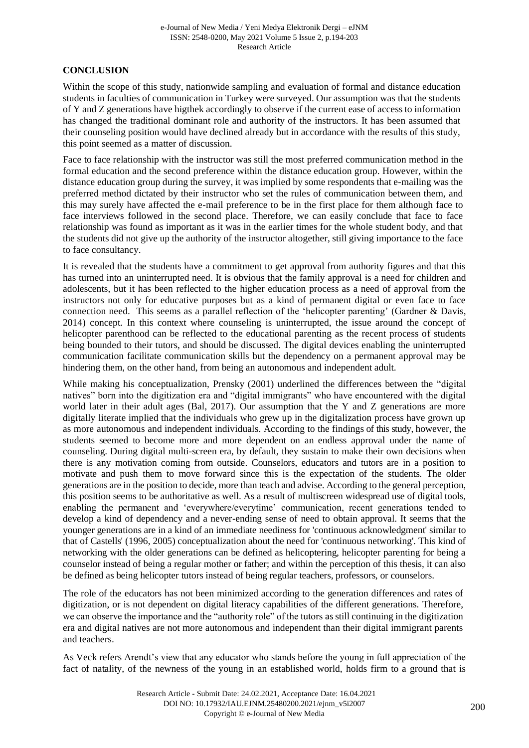# **CONCLUSION**

Within the scope of this study, nationwide sampling and evaluation of formal and distance education students in faculties of communication in Turkey were surveyed. Our assumption was that the students of Y and Z generations have higthek accordingly to observe if the current ease of access to information has changed the traditional dominant role and authority of the instructors. It has been assumed that their counseling position would have declined already but in accordance with the results of this study, this point seemed as a matter of discussion.

Face to face relationship with the instructor was still the most preferred communication method in the formal education and the second preference within the distance education group. However, within the distance education group during the survey, it was implied by some respondents that e-mailing was the preferred method dictated by their instructor who set the rules of communication between them, and this may surely have affected the e-mail preference to be in the first place for them although face to face interviews followed in the second place. Therefore, we can easily conclude that face to face relationship was found as important as it was in the earlier times for the whole student body, and that the students did not give up the authority of the instructor altogether, still giving importance to the face to face consultancy.

It is revealed that the students have a commitment to get approval from authority figures and that this has turned into an uninterrupted need. It is obvious that the family approval is a need for children and adolescents, but it has been reflected to the higher education process as a need of approval from the instructors not only for educative purposes but as a kind of permanent digital or even face to face connection need. This seems as a parallel reflection of the 'helicopter parenting' (Gardner & Davis, 2014) concept. In this context where counseling is uninterrupted, the issue around the concept of helicopter parenthood can be reflected to the educational parenting as the recent process of students being bounded to their tutors, and should be discussed. The digital devices enabling the uninterrupted communication facilitate communication skills but the dependency on a permanent approval may be hindering them, on the other hand, from being an autonomous and independent adult.

While making his conceptualization, Prensky (2001) underlined the differences between the "digital natives" born into the digitization era and "digital immigrants" who have encountered with the digital world later in their adult ages (Bal, 2017). Our assumption that the Y and Z generations are more digitally literate implied that the individuals who grew up in the digitalization process have grown up as more autonomous and independent individuals. According to the findings of this study, however, the students seemed to become more and more dependent on an endless approval under the name of counseling. During digital multi-screen era, by default, they sustain to make their own decisions when there is any motivation coming from outside. Counselors, educators and tutors are in a position to motivate and push them to move forward since this is the expectation of the students. The older generations are in the position to decide, more than teach and advise. According to the general perception, this position seems to be authoritative as well. As a result of multiscreen widespread use of digital tools, enabling the permanent and 'everywhere/everytime' communication, recent generations tended to develop a kind of dependency and a never-ending sense of need to obtain approval. It seems that the younger generations are in a kind of an immediate neediness for 'continuous acknowledgment' similar to that of Castells' (1996, 2005) conceptualization about the need for 'continuous networking'. This kind of networking with the older generations can be defined as helicoptering, helicopter parenting for being a counselor instead of being a regular mother or father; and within the perception of this thesis, it can also be defined as being helicopter tutors instead of being regular teachers, professors, or counselors.

The role of the educators has not been minimized according to the generation differences and rates of digitization, or is not dependent on digital literacy capabilities of the different generations. Therefore, we can observe the importance and the "authority role" of the tutors as still continuing in the digitization era and digital natives are not more autonomous and independent than their digital immigrant parents and teachers.

As Veck refers Arendt's view that any educator who stands before the young in full appreciation of the fact of natality, of the newness of the young in an established world, holds firm to a ground that is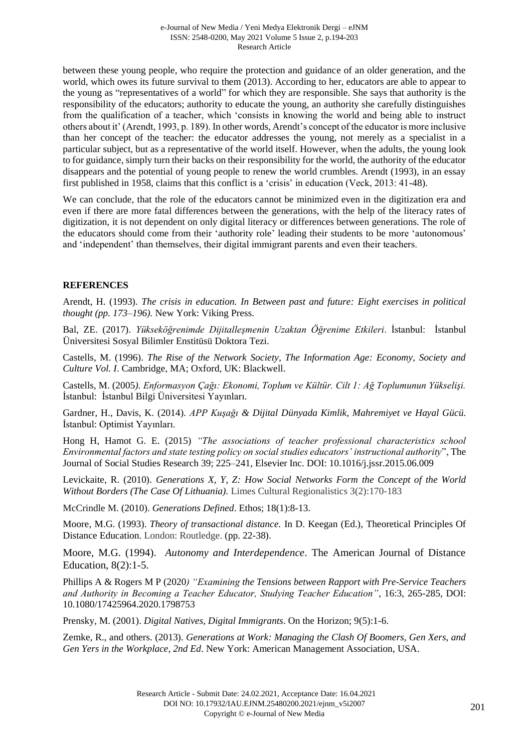between these young people, who require the protection and guidance of an older generation, and the world, which owes its future survival to them (2013). According to her, educators are able to appear to the young as "representatives of a world" for which they are responsible. She says that authority is the responsibility of the educators; authority to educate the young, an authority she carefully distinguishes from the qualification of a teacher, which 'consists in knowing the world and being able to instruct others about it' (Arendt, 1993, p. 189). In other words, Arendt's concept of the educator is more inclusive than her concept of the teacher: the educator addresses the young, not merely as a specialist in a particular subject, but as a representative of the world itself. However, when the adults, the young look to for guidance, simply turn their backs on their responsibility for the world, the authority of the educator disappears and the potential of young people to renew the world crumbles. Arendt (1993), in an essay first published in 1958, claims that this conflict is a 'crisis' in education (Veck, 2013: 41-48).

We can conclude, that the role of the educators cannot be minimized even in the digitization era and even if there are more fatal differences between the generations, with the help of the literacy rates of digitization, it is not dependent on only digital literacy or differences between generations. The role of the educators should come from their 'authority role' leading their students to be more 'autonomous' and 'independent' than themselves, their digital immigrant parents and even their teachers.

# **REFERENCES**

Arendt, H. (1993). *The crisis in education. In Between past and future: Eight exercises in political thought (pp. 173–196).* New York: Viking Press.

Bal, ZE. (2017). *Yükseköğrenimde Dijitalleşmenin Uzaktan Öğrenime Etkileri*. İstanbul: İstanbul Üniversitesi Sosyal Bilimler Enstitüsü Doktora Tezi.

Castells, M. (1996). *The Rise of the Network Society, The Information Age: Economy, Society and Culture Vol. I*. Cambridge, MA; Oxford, UK: Blackwell.

Castells, M. (2005*). Enformasyon Çağı: Ekonomi, Toplum ve Kültür. Cilt 1: Ağ Toplumunun Yükselişi.*  İstanbul: İstanbul Bilgi Üniversitesi Yayınları.

Gardner, H., Davis, K. (2014). *APP Kuşağı & Dijital Dünyada Kimlik, Mahremiyet ve Hayal Gücü.* İstanbul: Optimist Yayınları.

Hong H, Hamot G. E. (2015) *"The associations of teacher professional characteristics school Environmental factors and state testing policy on social studies educators' instructional authority*", The Journal of Social Studies Research 39; 225–241, Elsevier Inc. DOI: 10.1016/j.jssr.2015.06.009

Levickaite, R. (2010). *Generations X, Y, Z: How Social Networks Form the Concept of the World Without Borders (The Case Of Lithuania).* Limes Cultural Regionalistics 3(2):170-183

McCrindle M. (2010). *Generations Defined*. Ethos; 18(1):8-13.

Moore, M.G. (1993). *Theory of transactional distance.* In D. Keegan (Ed.), Theoretical Principles Of Distance Education. London: Routledge. (pp. 22-38).

Moore, M.G. (1994). *Autonomy and Interdependence*. The American Journal of Distance Education, 8(2):1-5.

Phillips A & Rogers M P (2020*) "Examining the Tensions between Rapport with Pre-Service Teachers and Authority in Becoming a Teacher Educator, Studying Teacher Education"*, 16:3, 265-285, DOI: 10.1080/17425964.2020.1798753

Prensky, M. (2001). *Digital Natives, Digital Immigrants*. On the Horizon; 9(5):1-6.

Zemke, R., and others. (2013). *Generations at Work: Managing the Clash Of Boomers, Gen Xers, and Gen Yers in the Workplace, 2nd Ed*. New York: American Management Association, USA.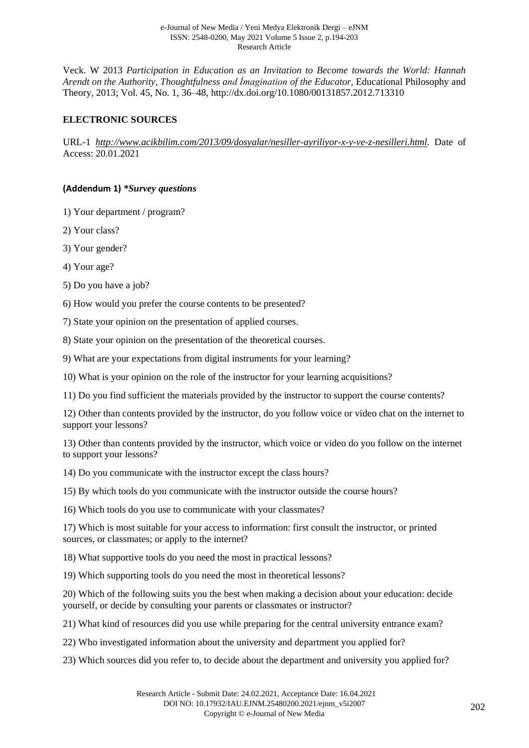Veck. W 2013 *Participation in Education as an Invitation to Become towards the World: Hannah Arendt on the Authority, Thoughtfulness and İmagination of the Educator,* Educational Philosophy and Theory, 2013; Vol. 45, No. 1, 36–48, http://dx.doi.org/10.1080/00131857.2012.713310

# **ELECTRONIC SOURCES**

URL-1 *[http://www.acikbilim.com/2013/09/dosyalar/nesiller-ayriliyor-x-y-ve-z-nesilleri.html.](http://www.acikbilim.com/2013/09/dosyalar/nesiller-ayriliyor-x-y-ve-z-nesilleri.html)* Date of Access: 20.01.2021

### **(Addendum 1)** *\*Survey questions*

1) Your department / program?

2) Your class?

3) Your gender?

4) Your age?

5) Do you have a job?

6) How would you prefer the course contents to be presented?

7) State your opinion on the presentation of applied courses.

8) State your opinion on the presentation of the theoretical courses.

9) What are your expectations from digital instruments for your learning?

10) What is your opinion on the role of the instructor for your learning acquisitions?

11) Do you find sufficient the materials provided by the instructor to support the course contents?

12) Other than contents provided by the instructor, do you follow voice or video chat on the internet to support your lessons?

13) Other than contents provided by the instructor, which voice or video do you follow on the internet to support your lessons?

14) Do you communicate with the instructor except the class hours?

15) By which tools do you communicate with the instructor outside the course hours?

16) Which tools do you use to communicate with your classmates?

17) Which is most suitable for your access to information: first consult the instructor, or printed sources, or classmates; or apply to the internet?

18) What supportive tools do you need the most in practical lessons?

19) Which supporting tools do you need the most in theoretical lessons?

20) Which of the following suits you the best when making a decision about your education: decide yourself, or decide by consulting your parents or classmates or instructor?

21) What kind of resources did you use while preparing for the central university entrance exam?

22) Who investigated information about the university and department you applied for?

23) Which sources did you refer to, to decide about the department and university you applied for?